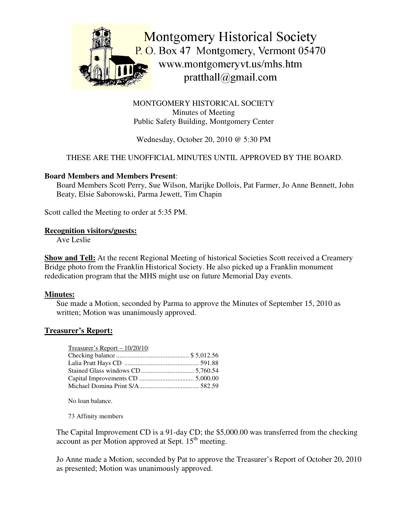

MONTGOMERY HISTORICAL SOCIETY Minutes of Meeting Public Safety Building, Montgomery Center

Wednesday, October 20, 2010 @ 5:30 PM

## THESE ARE THE UNOFFICIAL MINUTES UNTIL APPROVED BY THE BOARD.

#### **Board Members and Members Present**:

Board Members Scott Perry, Sue Wilson, Marijke Dollois, Pat Farmer, Jo Anne Bennett, John Beaty, Elsie Saborowski, Parma Jewett, Tim Chapin

Scott called the Meeting to order at 5:35 PM.

#### **Recognition visitors/guests:**

Ave Leslie

**Show and Tell:** At the recent Regional Meeting of historical Societies Scott received a Creamery Bridge photo from the Franklin Historical Society. He also picked up a Franklin monument rededication program that the MHS might use on future Memorial Day events.

### **Minutes:**

Sue made a Motion, seconded by Parma to approve the Minutes of September 15, 2010 as written; Motion was unanimously approved.

### **Treasurer's Report:**

| Treasurer's Report $-10/20/10$ : |  |
|----------------------------------|--|
|                                  |  |
|                                  |  |
|                                  |  |
|                                  |  |
|                                  |  |

No loan balance.

73 Affinity members

The Capital Improvement CD is a 91-day CD; the \$5,000.00 was transferred from the checking account as per Motion approved at Sept. 15<sup>th</sup> meeting.

Jo Anne made a Motion, seconded by Pat to approve the Treasurer's Report of October 20, 2010 as presented; Motion was unanimously approved.